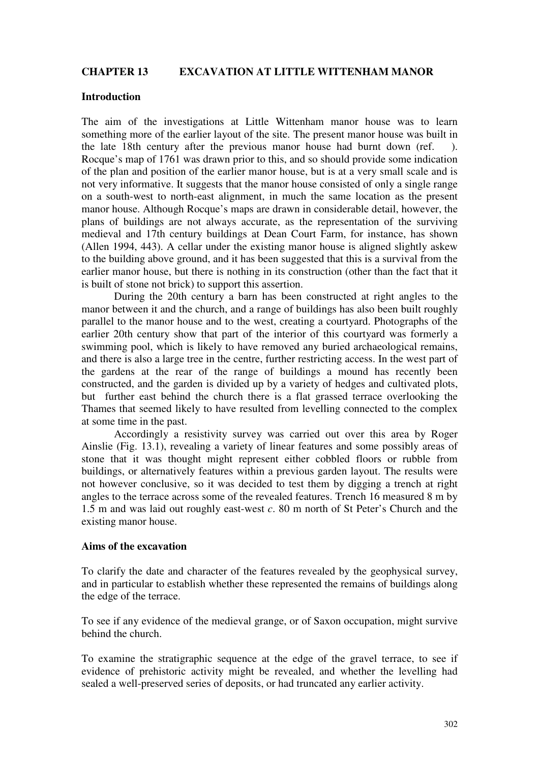# **CHAPTER 13 EXCAVATION AT LITTLE WITTENHAM MANOR**

#### **Introduction**

The aim of the investigations at Little Wittenham manor house was to learn something more of the earlier layout of the site. The present manor house was built in the late 18th century after the previous manor house had burnt down (ref. ). Rocque's map of 1761 was drawn prior to this, and so should provide some indication of the plan and position of the earlier manor house, but is at a very small scale and is not very informative. It suggests that the manor house consisted of only a single range on a south-west to north-east alignment, in much the same location as the present manor house. Although Rocque's maps are drawn in considerable detail, however, the plans of buildings are not always accurate, as the representation of the surviving medieval and 17th century buildings at Dean Court Farm, for instance, has shown (Allen 1994, 443). A cellar under the existing manor house is aligned slightly askew to the building above ground, and it has been suggested that this is a survival from the earlier manor house, but there is nothing in its construction (other than the fact that it is built of stone not brick) to support this assertion.

During the 20th century a barn has been constructed at right angles to the manor between it and the church, and a range of buildings has also been built roughly parallel to the manor house and to the west, creating a courtyard. Photographs of the earlier 20th century show that part of the interior of this courtyard was formerly a swimming pool, which is likely to have removed any buried archaeological remains, and there is also a large tree in the centre, further restricting access. In the west part of the gardens at the rear of the range of buildings a mound has recently been constructed, and the garden is divided up by a variety of hedges and cultivated plots, but further east behind the church there is a flat grassed terrace overlooking the Thames that seemed likely to have resulted from levelling connected to the complex at some time in the past.

Accordingly a resistivity survey was carried out over this area by Roger Ainslie (Fig. 13.1), revealing a variety of linear features and some possibly areas of stone that it was thought might represent either cobbled floors or rubble from buildings, or alternatively features within a previous garden layout. The results were not however conclusive, so it was decided to test them by digging a trench at right angles to the terrace across some of the revealed features. Trench 16 measured 8 m by 1.5 m and was laid out roughly east-west *c*. 80 m north of St Peter's Church and the existing manor house.

#### **Aims of the excavation**

To clarify the date and character of the features revealed by the geophysical survey, and in particular to establish whether these represented the remains of buildings along the edge of the terrace.

To see if any evidence of the medieval grange, or of Saxon occupation, might survive behind the church.

To examine the stratigraphic sequence at the edge of the gravel terrace, to see if evidence of prehistoric activity might be revealed, and whether the levelling had sealed a well-preserved series of deposits, or had truncated any earlier activity.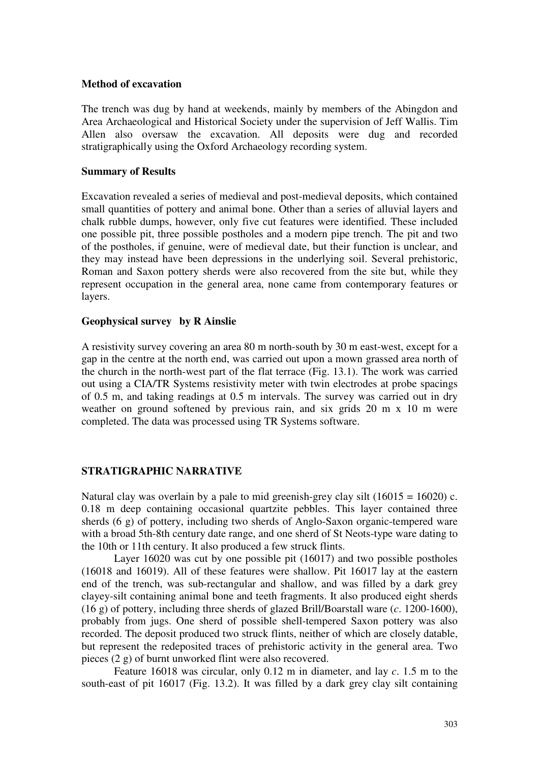#### **Method of excavation**

The trench was dug by hand at weekends, mainly by members of the Abingdon and Area Archaeological and Historical Society under the supervision of Jeff Wallis. Tim Allen also oversaw the excavation. All deposits were dug and recorded stratigraphically using the Oxford Archaeology recording system.

### **Summary of Results**

Excavation revealed a series of medieval and post-medieval deposits, which contained small quantities of pottery and animal bone. Other than a series of alluvial layers and chalk rubble dumps, however, only five cut features were identified. These included one possible pit, three possible postholes and a modern pipe trench. The pit and two of the postholes, if genuine, were of medieval date, but their function is unclear, and they may instead have been depressions in the underlying soil. Several prehistoric, Roman and Saxon pottery sherds were also recovered from the site but, while they represent occupation in the general area, none came from contemporary features or layers.

## **Geophysical survey by R Ainslie**

A resistivity survey covering an area 80 m north-south by 30 m east-west, except for a gap in the centre at the north end, was carried out upon a mown grassed area north of the church in the north-west part of the flat terrace (Fig. 13.1). The work was carried out using a CIA/TR Systems resistivity meter with twin electrodes at probe spacings of 0.5 m, and taking readings at 0.5 m intervals. The survey was carried out in dry weather on ground softened by previous rain, and six grids 20 m x 10 m were completed. The data was processed using TR Systems software.

# **STRATIGRAPHIC NARRATIVE**

Natural clay was overlain by a pale to mid greenish-grey clay silt  $(16015 = 16020)$  c. 0.18 m deep containing occasional quartzite pebbles. This layer contained three sherds (6 g) of pottery, including two sherds of Anglo-Saxon organic-tempered ware with a broad 5th-8th century date range, and one sherd of St Neots-type ware dating to the 10th or 11th century. It also produced a few struck flints.

Layer 16020 was cut by one possible pit (16017) and two possible postholes (16018 and 16019). All of these features were shallow. Pit 16017 lay at the eastern end of the trench, was sub-rectangular and shallow, and was filled by a dark grey clayey-silt containing animal bone and teeth fragments. It also produced eight sherds (16 g) of pottery, including three sherds of glazed Brill/Boarstall ware (*c*. 1200-1600), probably from jugs. One sherd of possible shell-tempered Saxon pottery was also recorded. The deposit produced two struck flints, neither of which are closely datable, but represent the redeposited traces of prehistoric activity in the general area. Two pieces (2 g) of burnt unworked flint were also recovered.

Feature 16018 was circular, only 0.12 m in diameter, and lay *c*. 1.5 m to the south-east of pit 16017 (Fig. 13.2). It was filled by a dark grey clay silt containing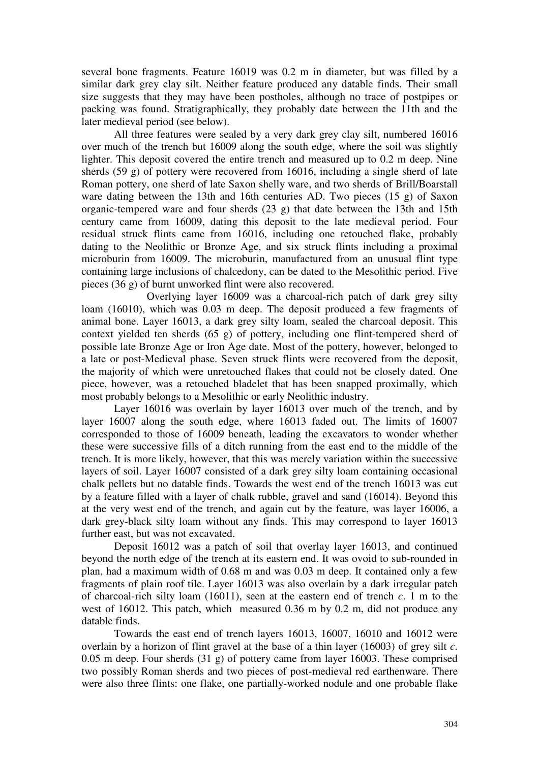several bone fragments. Feature 16019 was 0.2 m in diameter, but was filled by a similar dark grey clay silt. Neither feature produced any datable finds. Their small size suggests that they may have been postholes, although no trace of postpipes or packing was found. Stratigraphically, they probably date between the 11th and the later medieval period (see below).

All three features were sealed by a very dark grey clay silt, numbered 16016 over much of the trench but 16009 along the south edge, where the soil was slightly lighter. This deposit covered the entire trench and measured up to 0.2 m deep. Nine sherds (59 g) of pottery were recovered from 16016, including a single sherd of late Roman pottery, one sherd of late Saxon shelly ware, and two sherds of Brill/Boarstall ware dating between the 13th and 16th centuries AD. Two pieces (15 g) of Saxon organic-tempered ware and four sherds (23 g) that date between the 13th and 15th century came from 16009, dating this deposit to the late medieval period. Four residual struck flints came from 16016, including one retouched flake, probably dating to the Neolithic or Bronze Age, and six struck flints including a proximal microburin from 16009. The microburin, manufactured from an unusual flint type containing large inclusions of chalcedony, can be dated to the Mesolithic period. Five pieces (36 g) of burnt unworked flint were also recovered.

 Overlying layer 16009 was a charcoal-rich patch of dark grey silty loam (16010), which was 0.03 m deep. The deposit produced a few fragments of animal bone. Layer 16013, a dark grey silty loam, sealed the charcoal deposit. This context yielded ten sherds (65 g) of pottery, including one flint-tempered sherd of possible late Bronze Age or Iron Age date. Most of the pottery, however, belonged to a late or post-Medieval phase. Seven struck flints were recovered from the deposit, the majority of which were unretouched flakes that could not be closely dated. One piece, however, was a retouched bladelet that has been snapped proximally, which most probably belongs to a Mesolithic or early Neolithic industry.

Layer 16016 was overlain by layer 16013 over much of the trench, and by layer 16007 along the south edge, where 16013 faded out. The limits of 16007 corresponded to those of 16009 beneath, leading the excavators to wonder whether these were successive fills of a ditch running from the east end to the middle of the trench. It is more likely, however, that this was merely variation within the successive layers of soil. Layer 16007 consisted of a dark grey silty loam containing occasional chalk pellets but no datable finds. Towards the west end of the trench 16013 was cut by a feature filled with a layer of chalk rubble, gravel and sand (16014). Beyond this at the very west end of the trench, and again cut by the feature, was layer 16006, a dark grey-black silty loam without any finds. This may correspond to layer 16013 further east, but was not excavated.

Deposit 16012 was a patch of soil that overlay layer 16013, and continued beyond the north edge of the trench at its eastern end. It was ovoid to sub-rounded in plan, had a maximum width of 0.68 m and was 0.03 m deep. It contained only a few fragments of plain roof tile. Layer 16013 was also overlain by a dark irregular patch of charcoal-rich silty loam (16011), seen at the eastern end of trench *c*. 1 m to the west of 16012. This patch, which measured 0.36 m by 0.2 m, did not produce any datable finds.

Towards the east end of trench layers 16013, 16007, 16010 and 16012 were overlain by a horizon of flint gravel at the base of a thin layer (16003) of grey silt *c*. 0.05 m deep. Four sherds (31 g) of pottery came from layer 16003. These comprised two possibly Roman sherds and two pieces of post-medieval red earthenware. There were also three flints: one flake, one partially-worked nodule and one probable flake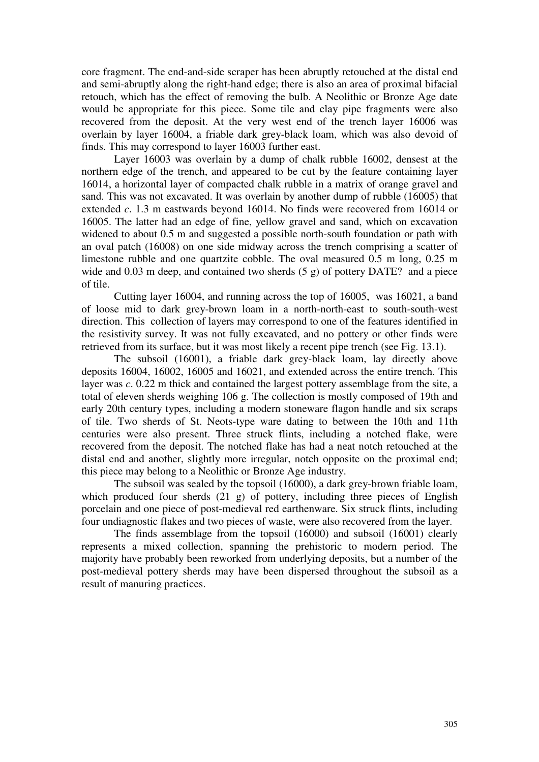core fragment. The end-and-side scraper has been abruptly retouched at the distal end and semi-abruptly along the right-hand edge; there is also an area of proximal bifacial retouch, which has the effect of removing the bulb. A Neolithic or Bronze Age date would be appropriate for this piece. Some tile and clay pipe fragments were also recovered from the deposit. At the very west end of the trench layer 16006 was overlain by layer 16004, a friable dark grey-black loam, which was also devoid of finds. This may correspond to layer 16003 further east.

 Layer 16003 was overlain by a dump of chalk rubble 16002, densest at the northern edge of the trench, and appeared to be cut by the feature containing layer 16014, a horizontal layer of compacted chalk rubble in a matrix of orange gravel and sand. This was not excavated. It was overlain by another dump of rubble (16005) that extended *c*. 1.3 m eastwards beyond 16014. No finds were recovered from 16014 or 16005. The latter had an edge of fine, yellow gravel and sand, which on excavation widened to about 0.5 m and suggested a possible north-south foundation or path with an oval patch (16008) on one side midway across the trench comprising a scatter of limestone rubble and one quartzite cobble. The oval measured 0.5 m long, 0.25 m wide and 0.03 m deep, and contained two sherds (5 g) of pottery DATE? and a piece of tile.

 Cutting layer 16004, and running across the top of 16005, was 16021, a band of loose mid to dark grey-brown loam in a north-north-east to south-south-west direction. This collection of layers may correspond to one of the features identified in the resistivity survey. It was not fully excavated, and no pottery or other finds were retrieved from its surface, but it was most likely a recent pipe trench (see Fig. 13.1).

 The subsoil (16001), a friable dark grey-black loam, lay directly above deposits 16004, 16002, 16005 and 16021, and extended across the entire trench. This layer was *c*. 0.22 m thick and contained the largest pottery assemblage from the site, a total of eleven sherds weighing 106 g. The collection is mostly composed of 19th and early 20th century types, including a modern stoneware flagon handle and six scraps of tile. Two sherds of St. Neots-type ware dating to between the 10th and 11th centuries were also present. Three struck flints, including a notched flake, were recovered from the deposit. The notched flake has had a neat notch retouched at the distal end and another, slightly more irregular, notch opposite on the proximal end; this piece may belong to a Neolithic or Bronze Age industry.

The subsoil was sealed by the topsoil (16000), a dark grey-brown friable loam, which produced four sherds (21 g) of pottery, including three pieces of English porcelain and one piece of post-medieval red earthenware. Six struck flints, including four undiagnostic flakes and two pieces of waste, were also recovered from the layer.

The finds assemblage from the topsoil (16000) and subsoil (16001) clearly represents a mixed collection, spanning the prehistoric to modern period. The majority have probably been reworked from underlying deposits, but a number of the post-medieval pottery sherds may have been dispersed throughout the subsoil as a result of manuring practices.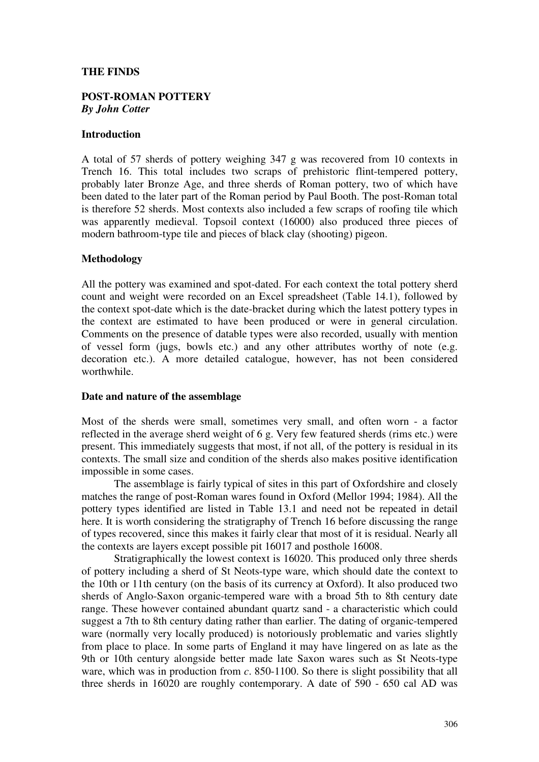## **THE FINDS**

### **POST-ROMAN POTTERY**  *By John Cotter*

### **Introduction**

A total of 57 sherds of pottery weighing 347 g was recovered from 10 contexts in Trench 16. This total includes two scraps of prehistoric flint-tempered pottery, probably later Bronze Age, and three sherds of Roman pottery, two of which have been dated to the later part of the Roman period by Paul Booth. The post-Roman total is therefore 52 sherds. Most contexts also included a few scraps of roofing tile which was apparently medieval. Topsoil context (16000) also produced three pieces of modern bathroom-type tile and pieces of black clay (shooting) pigeon.

### **Methodology**

All the pottery was examined and spot-dated. For each context the total pottery sherd count and weight were recorded on an Excel spreadsheet (Table 14.1), followed by the context spot-date which is the date-bracket during which the latest pottery types in the context are estimated to have been produced or were in general circulation. Comments on the presence of datable types were also recorded, usually with mention of vessel form (jugs, bowls etc.) and any other attributes worthy of note (e.g. decoration etc.). A more detailed catalogue, however, has not been considered worthwhile.

#### **Date and nature of the assemblage**

Most of the sherds were small, sometimes very small, and often worn - a factor reflected in the average sherd weight of 6 g. Very few featured sherds (rims etc.) were present. This immediately suggests that most, if not all, of the pottery is residual in its contexts. The small size and condition of the sherds also makes positive identification impossible in some cases.

The assemblage is fairly typical of sites in this part of Oxfordshire and closely matches the range of post-Roman wares found in Oxford (Mellor 1994; 1984). All the pottery types identified are listed in Table 13.1 and need not be repeated in detail here. It is worth considering the stratigraphy of Trench 16 before discussing the range of types recovered, since this makes it fairly clear that most of it is residual. Nearly all the contexts are layers except possible pit 16017 and posthole 16008.

Stratigraphically the lowest context is 16020. This produced only three sherds of pottery including a sherd of St Neots-type ware, which should date the context to the 10th or 11th century (on the basis of its currency at Oxford). It also produced two sherds of Anglo-Saxon organic-tempered ware with a broad 5th to 8th century date range. These however contained abundant quartz sand - a characteristic which could suggest a 7th to 8th century dating rather than earlier. The dating of organic-tempered ware (normally very locally produced) is notoriously problematic and varies slightly from place to place. In some parts of England it may have lingered on as late as the 9th or 10th century alongside better made late Saxon wares such as St Neots-type ware, which was in production from *c*. 850-1100. So there is slight possibility that all three sherds in 16020 are roughly contemporary. A date of 590 - 650 cal AD was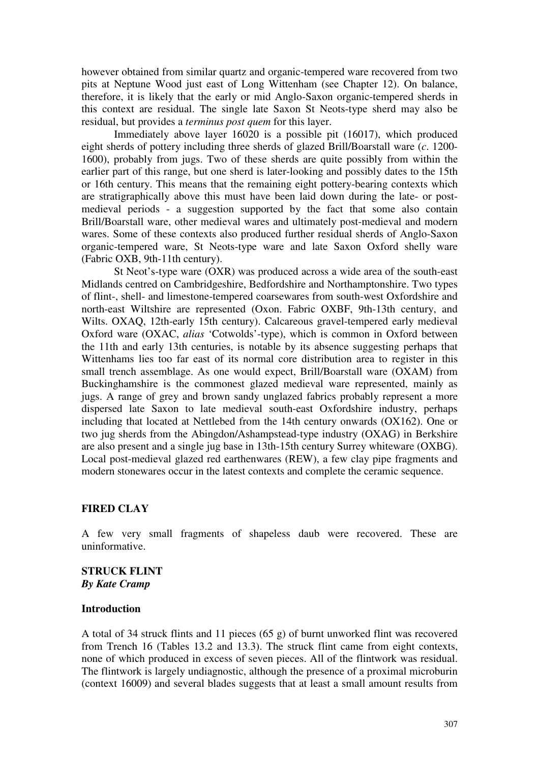however obtained from similar quartz and organic-tempered ware recovered from two pits at Neptune Wood just east of Long Wittenham (see Chapter 12). On balance, therefore, it is likely that the early or mid Anglo-Saxon organic-tempered sherds in this context are residual. The single late Saxon St Neots-type sherd may also be residual, but provides a *terminus post quem* for this layer.

Immediately above layer 16020 is a possible pit (16017), which produced eight sherds of pottery including three sherds of glazed Brill/Boarstall ware (*c*. 1200- 1600), probably from jugs. Two of these sherds are quite possibly from within the earlier part of this range, but one sherd is later-looking and possibly dates to the 15th or 16th century. This means that the remaining eight pottery-bearing contexts which are stratigraphically above this must have been laid down during the late- or postmedieval periods - a suggestion supported by the fact that some also contain Brill/Boarstall ware, other medieval wares and ultimately post-medieval and modern wares. Some of these contexts also produced further residual sherds of Anglo-Saxon organic-tempered ware, St Neots-type ware and late Saxon Oxford shelly ware (Fabric OXB, 9th-11th century).

St Neot's-type ware (OXR) was produced across a wide area of the south-east Midlands centred on Cambridgeshire, Bedfordshire and Northamptonshire. Two types of flint-, shell- and limestone-tempered coarsewares from south-west Oxfordshire and north-east Wiltshire are represented (Oxon. Fabric OXBF, 9th-13th century, and Wilts. OXAQ, 12th-early 15th century). Calcareous gravel-tempered early medieval Oxford ware (OXAC, *alias* 'Cotwolds'-type), which is common in Oxford between the 11th and early 13th centuries, is notable by its absence suggesting perhaps that Wittenhams lies too far east of its normal core distribution area to register in this small trench assemblage. As one would expect, Brill/Boarstall ware (OXAM) from Buckinghamshire is the commonest glazed medieval ware represented, mainly as jugs. A range of grey and brown sandy unglazed fabrics probably represent a more dispersed late Saxon to late medieval south-east Oxfordshire industry, perhaps including that located at Nettlebed from the 14th century onwards (OX162). One or two jug sherds from the Abingdon/Ashampstead-type industry (OXAG) in Berkshire are also present and a single jug base in 13th-15th century Surrey whiteware (OXBG). Local post-medieval glazed red earthenwares (REW), a few clay pipe fragments and modern stonewares occur in the latest contexts and complete the ceramic sequence.

## **FIRED CLAY**

A few very small fragments of shapeless daub were recovered. These are uninformative.

**STRUCK FLINT**  *By Kate Cramp* 

## **Introduction**

A total of 34 struck flints and 11 pieces (65 g) of burnt unworked flint was recovered from Trench 16 (Tables 13.2 and 13.3). The struck flint came from eight contexts, none of which produced in excess of seven pieces. All of the flintwork was residual. The flintwork is largely undiagnostic, although the presence of a proximal microburin (context 16009) and several blades suggests that at least a small amount results from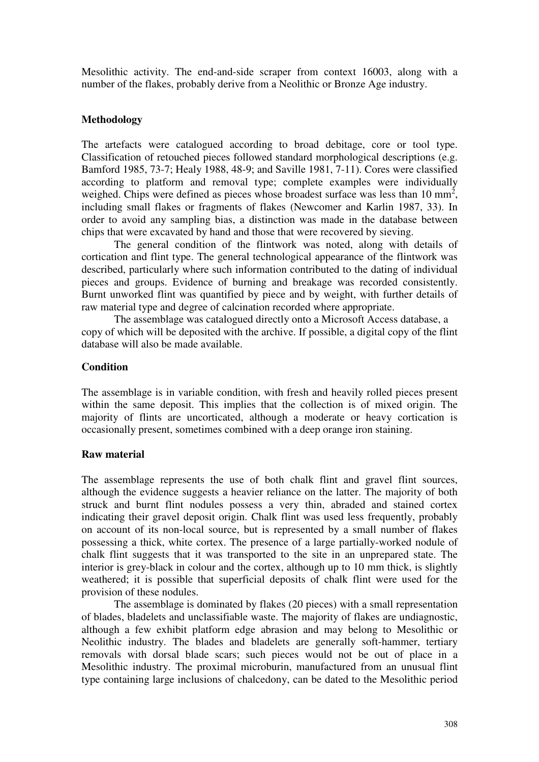Mesolithic activity. The end-and-side scraper from context 16003, along with a number of the flakes, probably derive from a Neolithic or Bronze Age industry.

## **Methodology**

The artefacts were catalogued according to broad debitage, core or tool type. Classification of retouched pieces followed standard morphological descriptions (e.g. Bamford 1985, 73-7; Healy 1988, 48-9; and Saville 1981, 7-11). Cores were classified according to platform and removal type; complete examples were individually weighed. Chips were defined as pieces whose broadest surface was less than  $10 \text{ mm}^2$ , including small flakes or fragments of flakes (Newcomer and Karlin 1987, 33). In order to avoid any sampling bias, a distinction was made in the database between chips that were excavated by hand and those that were recovered by sieving.

The general condition of the flintwork was noted, along with details of cortication and flint type. The general technological appearance of the flintwork was described, particularly where such information contributed to the dating of individual pieces and groups. Evidence of burning and breakage was recorded consistently. Burnt unworked flint was quantified by piece and by weight, with further details of raw material type and degree of calcination recorded where appropriate.

The assemblage was catalogued directly onto a Microsoft Access database, a copy of which will be deposited with the archive. If possible, a digital copy of the flint database will also be made available.

# **Condition**

The assemblage is in variable condition, with fresh and heavily rolled pieces present within the same deposit. This implies that the collection is of mixed origin. The majority of flints are uncorticated, although a moderate or heavy cortication is occasionally present, sometimes combined with a deep orange iron staining.

## **Raw material**

The assemblage represents the use of both chalk flint and gravel flint sources, although the evidence suggests a heavier reliance on the latter. The majority of both struck and burnt flint nodules possess a very thin, abraded and stained cortex indicating their gravel deposit origin. Chalk flint was used less frequently, probably on account of its non-local source, but is represented by a small number of flakes possessing a thick, white cortex. The presence of a large partially-worked nodule of chalk flint suggests that it was transported to the site in an unprepared state. The interior is grey-black in colour and the cortex, although up to 10 mm thick, is slightly weathered; it is possible that superficial deposits of chalk flint were used for the provision of these nodules.

The assemblage is dominated by flakes (20 pieces) with a small representation of blades, bladelets and unclassifiable waste. The majority of flakes are undiagnostic, although a few exhibit platform edge abrasion and may belong to Mesolithic or Neolithic industry. The blades and bladelets are generally soft-hammer, tertiary removals with dorsal blade scars; such pieces would not be out of place in a Mesolithic industry. The proximal microburin, manufactured from an unusual flint type containing large inclusions of chalcedony, can be dated to the Mesolithic period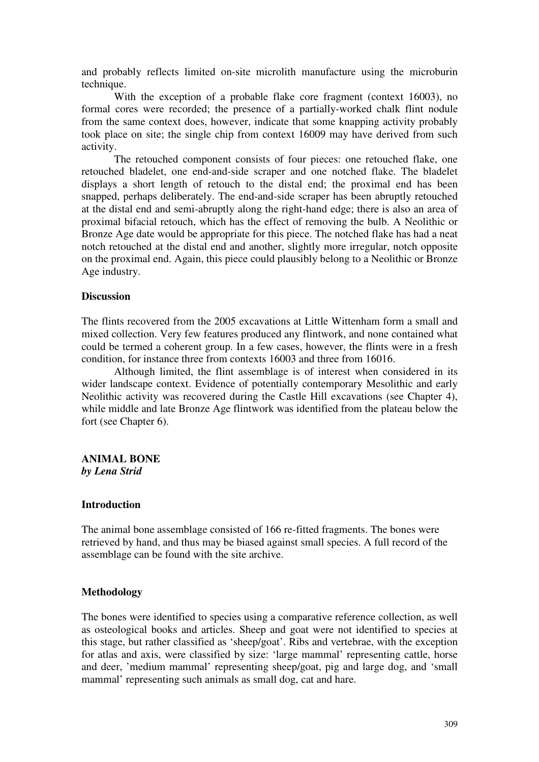and probably reflects limited on-site microlith manufacture using the microburin technique.

With the exception of a probable flake core fragment (context 16003), no formal cores were recorded; the presence of a partially-worked chalk flint nodule from the same context does, however, indicate that some knapping activity probably took place on site; the single chip from context 16009 may have derived from such activity.

The retouched component consists of four pieces: one retouched flake, one retouched bladelet, one end-and-side scraper and one notched flake. The bladelet displays a short length of retouch to the distal end; the proximal end has been snapped, perhaps deliberately. The end-and-side scraper has been abruptly retouched at the distal end and semi-abruptly along the right-hand edge; there is also an area of proximal bifacial retouch, which has the effect of removing the bulb. A Neolithic or Bronze Age date would be appropriate for this piece. The notched flake has had a neat notch retouched at the distal end and another, slightly more irregular, notch opposite on the proximal end. Again, this piece could plausibly belong to a Neolithic or Bronze Age industry.

## **Discussion**

The flints recovered from the 2005 excavations at Little Wittenham form a small and mixed collection. Very few features produced any flintwork, and none contained what could be termed a coherent group. In a few cases, however, the flints were in a fresh condition, for instance three from contexts 16003 and three from 16016.

Although limited, the flint assemblage is of interest when considered in its wider landscape context. Evidence of potentially contemporary Mesolithic and early Neolithic activity was recovered during the Castle Hill excavations (see Chapter 4), while middle and late Bronze Age flintwork was identified from the plateau below the fort (see Chapter 6).

## **ANIMAL BONE** *by Lena Strid*

#### **Introduction**

The animal bone assemblage consisted of 166 re-fitted fragments. The bones were retrieved by hand, and thus may be biased against small species. A full record of the assemblage can be found with the site archive.

## **Methodology**

The bones were identified to species using a comparative reference collection, as well as osteological books and articles. Sheep and goat were not identified to species at this stage, but rather classified as 'sheep/goat'. Ribs and vertebrae, with the exception for atlas and axis, were classified by size: 'large mammal' representing cattle, horse and deer, 'medium mammal' representing sheep/goat, pig and large dog, and 'small mammal' representing such animals as small dog, cat and hare.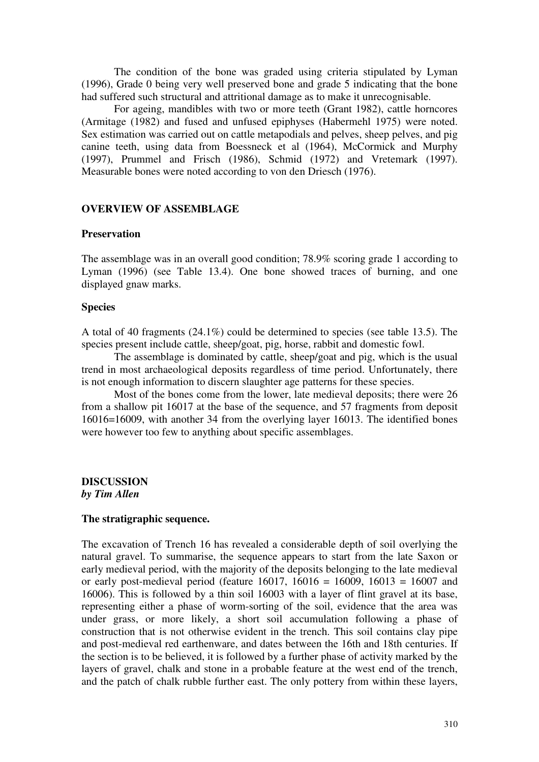The condition of the bone was graded using criteria stipulated by Lyman (1996), Grade 0 being very well preserved bone and grade 5 indicating that the bone had suffered such structural and attritional damage as to make it unrecognisable.

For ageing, mandibles with two or more teeth (Grant 1982), cattle horncores (Armitage (1982) and fused and unfused epiphyses (Habermehl 1975) were noted. Sex estimation was carried out on cattle metapodials and pelves, sheep pelves, and pig canine teeth, using data from Boessneck et al (1964), McCormick and Murphy (1997), Prummel and Frisch (1986), Schmid (1972) and Vretemark (1997). Measurable bones were noted according to von den Driesch (1976).

#### **OVERVIEW OF ASSEMBLAGE**

#### **Preservation**

The assemblage was in an overall good condition; 78.9% scoring grade 1 according to Lyman (1996) (see Table 13.4). One bone showed traces of burning, and one displayed gnaw marks.

#### **Species**

A total of 40 fragments (24.1%) could be determined to species (see table 13.5). The species present include cattle, sheep/goat, pig, horse, rabbit and domestic fowl.

The assemblage is dominated by cattle, sheep/goat and pig, which is the usual trend in most archaeological deposits regardless of time period. Unfortunately, there is not enough information to discern slaughter age patterns for these species.

Most of the bones come from the lower, late medieval deposits; there were 26 from a shallow pit 16017 at the base of the sequence, and 57 fragments from deposit 16016=16009, with another 34 from the overlying layer 16013. The identified bones were however too few to anything about specific assemblages.

## **DISCUSSION**  *by Tim Allen*

# **The stratigraphic sequence.**

The excavation of Trench 16 has revealed a considerable depth of soil overlying the natural gravel. To summarise, the sequence appears to start from the late Saxon or early medieval period, with the majority of the deposits belonging to the late medieval or early post-medieval period (feature 16017,  $16016 = 16009$ ,  $16013 = 16007$  and 16006). This is followed by a thin soil 16003 with a layer of flint gravel at its base, representing either a phase of worm-sorting of the soil, evidence that the area was under grass, or more likely, a short soil accumulation following a phase of construction that is not otherwise evident in the trench. This soil contains clay pipe and post-medieval red earthenware, and dates between the 16th and 18th centuries. If the section is to be believed, it is followed by a further phase of activity marked by the layers of gravel, chalk and stone in a probable feature at the west end of the trench, and the patch of chalk rubble further east. The only pottery from within these layers,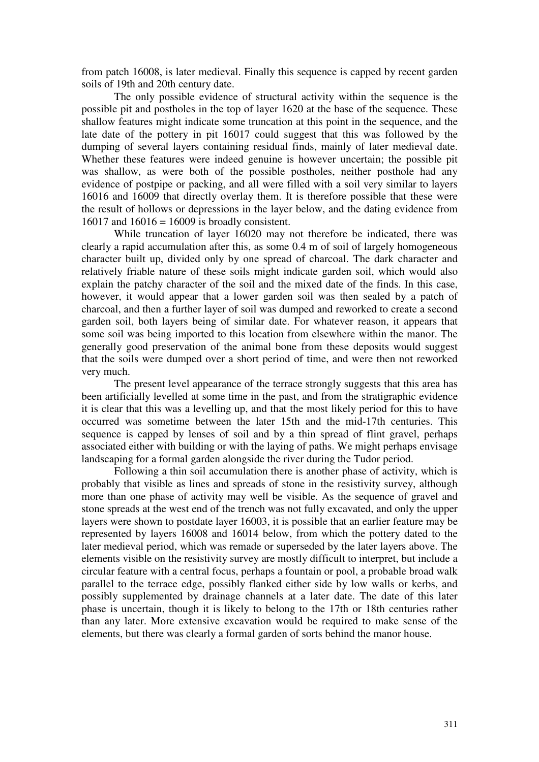from patch 16008, is later medieval. Finally this sequence is capped by recent garden soils of 19th and 20th century date.

The only possible evidence of structural activity within the sequence is the possible pit and postholes in the top of layer 1620 at the base of the sequence. These shallow features might indicate some truncation at this point in the sequence, and the late date of the pottery in pit 16017 could suggest that this was followed by the dumping of several layers containing residual finds, mainly of later medieval date. Whether these features were indeed genuine is however uncertain; the possible pit was shallow, as were both of the possible postholes, neither posthole had any evidence of postpipe or packing, and all were filled with a soil very similar to layers 16016 and 16009 that directly overlay them. It is therefore possible that these were the result of hollows or depressions in the layer below, and the dating evidence from 16017 and 16016 = 16009 is broadly consistent.

While truncation of layer 16020 may not therefore be indicated, there was clearly a rapid accumulation after this, as some 0.4 m of soil of largely homogeneous character built up, divided only by one spread of charcoal. The dark character and relatively friable nature of these soils might indicate garden soil, which would also explain the patchy character of the soil and the mixed date of the finds. In this case, however, it would appear that a lower garden soil was then sealed by a patch of charcoal, and then a further layer of soil was dumped and reworked to create a second garden soil, both layers being of similar date. For whatever reason, it appears that some soil was being imported to this location from elsewhere within the manor. The generally good preservation of the animal bone from these deposits would suggest that the soils were dumped over a short period of time, and were then not reworked very much.

The present level appearance of the terrace strongly suggests that this area has been artificially levelled at some time in the past, and from the stratigraphic evidence it is clear that this was a levelling up, and that the most likely period for this to have occurred was sometime between the later 15th and the mid-17th centuries. This sequence is capped by lenses of soil and by a thin spread of flint gravel, perhaps associated either with building or with the laying of paths. We might perhaps envisage landscaping for a formal garden alongside the river during the Tudor period.

Following a thin soil accumulation there is another phase of activity, which is probably that visible as lines and spreads of stone in the resistivity survey, although more than one phase of activity may well be visible. As the sequence of gravel and stone spreads at the west end of the trench was not fully excavated, and only the upper layers were shown to postdate layer 16003, it is possible that an earlier feature may be represented by layers 16008 and 16014 below, from which the pottery dated to the later medieval period, which was remade or superseded by the later layers above. The elements visible on the resistivity survey are mostly difficult to interpret, but include a circular feature with a central focus, perhaps a fountain or pool, a probable broad walk parallel to the terrace edge, possibly flanked either side by low walls or kerbs, and possibly supplemented by drainage channels at a later date. The date of this later phase is uncertain, though it is likely to belong to the 17th or 18th centuries rather than any later. More extensive excavation would be required to make sense of the elements, but there was clearly a formal garden of sorts behind the manor house.